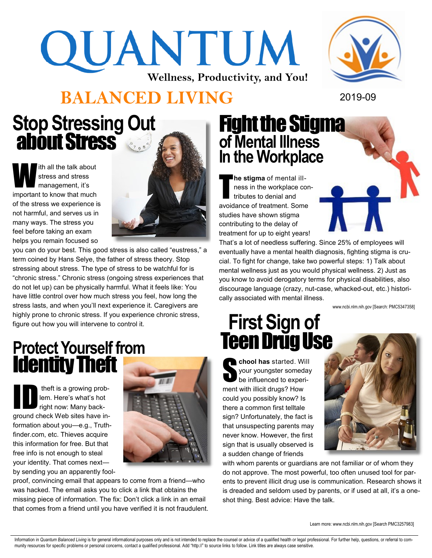# QUANTUM **Wellness, Productivity, and You!**



# **BALANCED LIVING** 2019-09

## **Stop Stressing Out**  about Stress

W ith all the talk about stress and stress management, it's important to know that much of the stress we experience is not harmful, and serves us in many ways. The stress you feel before taking an exam helps you remain focused so



you can do your best. This good stress is also called "eustress," a term coined by Hans Selye, the father of stress theory. Stop stressing about stress. The type of stress to be watchful for is "chronic stress." Chronic stress (ongoing stress experiences that do not let up) can be physically harmful. What it feels like: You have little control over how much stress you feel, how long the stress lasts, and when you'll next experience it. Caregivers are highly prone to chronic stress. If you experience chronic stress, figure out how you will intervene to control it.

#### **Protect Yourself from**  Identity Theft

theft is a growing prob-<br>
lem. Here's what's hot<br>
right now: Many backlem. Here's what's hot ground check Web sites have information about you—e.g., Truthfinder.com, etc. Thieves acquire this information for free. But that free info is not enough to steal your identity. That comes next by sending you an apparently fool-



proof, convincing email that appears to come from a friend—who was hacked. The email asks you to click a link that obtains the missing piece of information. The fix: Don't click a link in an email that comes from a friend until you have verified it is not fraudulent.

#### Fight the Stigma **of Mental Illness In the Workplace**

T **he stigma** of mental illness in the workplace contributes to denial and avoidance of treatment. Some studies have shown stigma contributing to the delay of treatment for up to eight years!

That's a lot of needless suffering. Since 25% of employees will eventually have a mental health diagnosis, fighting stigma is crucial. To fight for change, take two powerful steps: 1) Talk about mental wellness just as you would physical wellness. 2) Just as you know to avoid derogatory terms for physical disabilities, also discourage language (crazy, nut-case, whacked-out, etc.) historically associated with mental illness.

www.ncbi.nlm.nih.gov [Search: PMC5347358]

# **First Sign of Teen Drug Use**

**chool has** started. Will<br>your youngster someday<br>be influenced to experiyour youngster someday be influenced to experiment with illicit drugs? How could you possibly know? Is there a common first telltale sign? Unfortunately, the fact is that unsuspecting parents may never know. However, the first sign that is usually observed is a sudden change of friends



with whom parents or guardians are not familiar or of whom they do not approve. The most powerful, too often unused tool for parents to prevent illicit drug use is communication. Research shows it is dreaded and seldom used by parents, or if used at all, it's a oneshot thing. Best advice: Have the talk.

Learn more: www.ncbi.nlm.nih.gov [Search PMC3257983]

Information in Quantum Balanced Living is for general informational purposes only and is not intended to replace the counsel or advice of a qualified health or legal professional. For further help, questions, or referral t munity resources for specific problems or personal concerns, contact a qualified professional. Add "http://" to source links to follow. Link titles are always case sensitive.